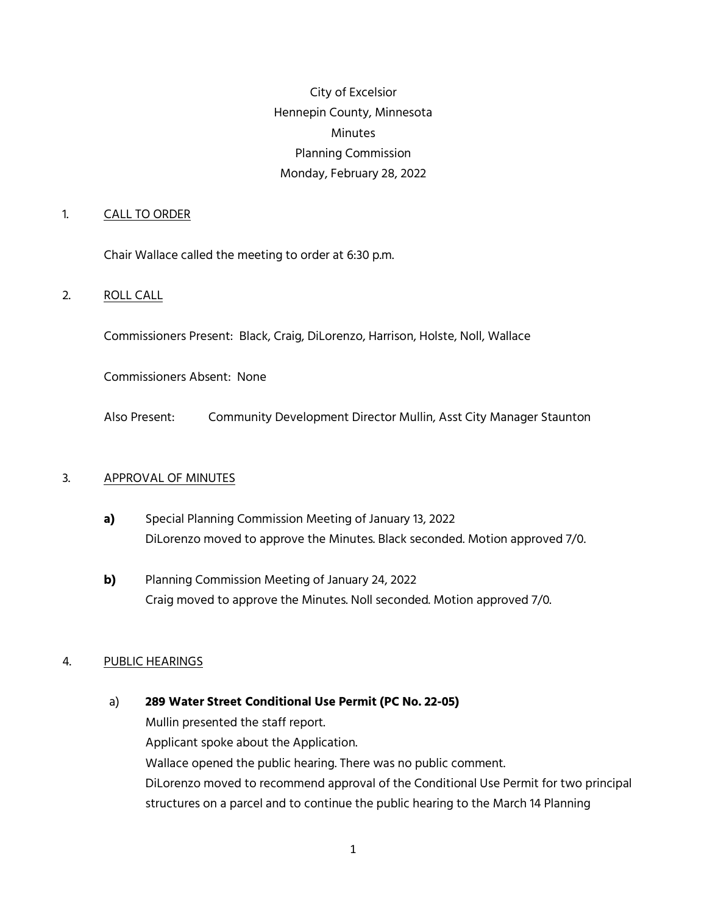City of Excelsior Hennepin County, Minnesota Minutes Planning Commission Monday, February 28, 2022

### 1. CALL TO ORDER

Chair Wallace called the meeting to order at 6:30 p.m.

### 2. ROLL CALL

Commissioners Present: Black, Craig, DiLorenzo, Harrison, Holste, Noll, Wallace

Commissioners Absent: None

Also Present: Community Development Director Mullin, Asst City Manager Staunton

#### 3. APPROVAL OF MINUTES

- **a)** Special Planning Commission Meeting of January 13, 2022 DiLorenzo moved to approve the Minutes. Black seconded. Motion approved 7/0.
- **b)** Planning Commission Meeting of January 24, 2022 Craig moved to approve the Minutes. Noll seconded. Motion approved 7/0.

#### 4. PUBLIC HEARINGS

### a) **289 Water Street Conditional Use Permit (PC No. 22-05)**

Mullin presented the staff report. Applicant spoke about the Application. Wallace opened the public hearing. There was no public comment. DiLorenzo moved to recommend approval of the Conditional Use Permit for two principal structures on a parcel and to continue the public hearing to the March 14 Planning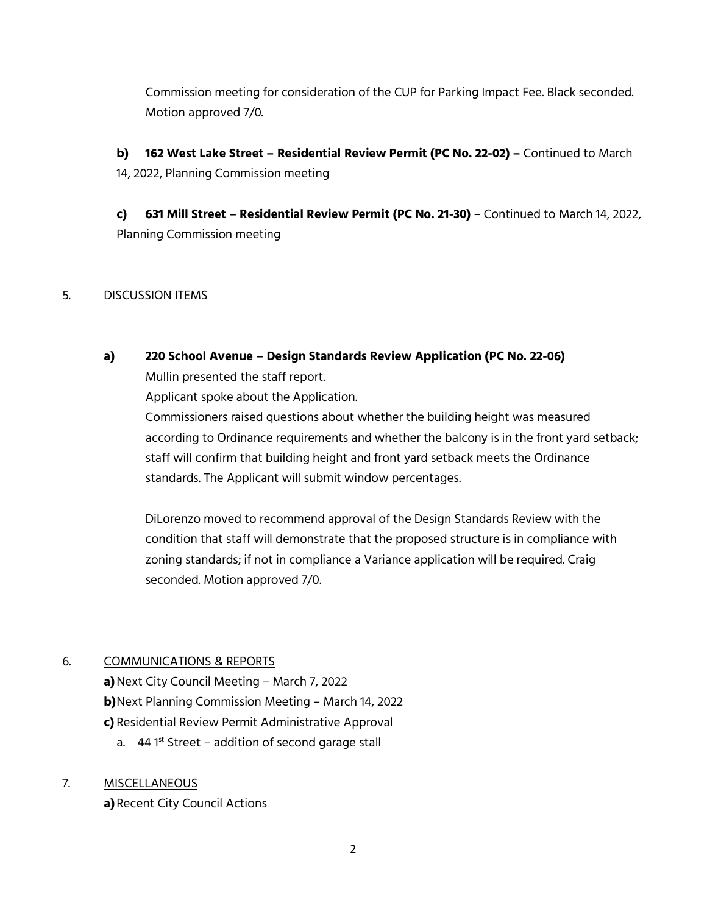Commission meeting for consideration of the CUP for Parking Impact Fee. Black seconded. Motion approved 7/0.

**b) 162 West Lake Street – Residential Review Permit (PC No. 22-02) –** Continued to March 14, 2022, Planning Commission meeting

**c) 631 Mill Street – Residential Review Permit (PC No. 21-30)** – Continued to March 14, 2022, Planning Commission meeting

## 5. DISCUSSION ITEMS

# **a) 220 School Avenue – Design Standards Review Application (PC No. 22-06)**  Mullin presented the staff report.

Applicant spoke about the Application.

Commissioners raised questions about whether the building height was measured according to Ordinance requirements and whether the balcony is in the front yard setback; staff will confirm that building height and front yard setback meets the Ordinance standards. The Applicant will submit window percentages.

DiLorenzo moved to recommend approval of the Design Standards Review with the condition that staff will demonstrate that the proposed structure is in compliance with zoning standards; if not in compliance a Variance application will be required. Craig seconded. Motion approved 7/0.

## 6. COMMUNICATIONS & REPORTS

**a)**Next City Council Meeting – March 7, 2022

**b)**Next Planning Commission Meeting – March 14, 2022

**c)** Residential Review Permit Administrative Approval

a. 44 1<sup>st</sup> Street - addition of second garage stall

## 7. MISCELLANEOUS

**a)** Recent City Council Actions